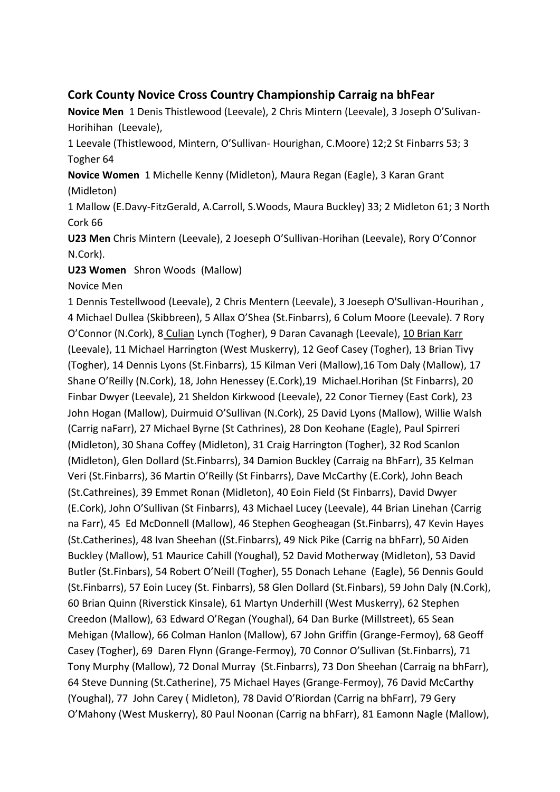## **Cork County Novice Cross Country Championship Carraig na bhFear**

**Novice Men** 1 Denis Thistlewood (Leevale), 2 Chris Mintern (Leevale), 3 Joseph O'Sulivan-Horihihan (Leevale),

1 Leevale (Thistlewood, Mintern, O'Sullivan- Hourighan, C.Moore) 12;2 St Finbarrs 53; 3 Togher 64

**Novice Women** 1 Michelle Kenny (Midleton), Maura Regan (Eagle), 3 Karan Grant (Midleton)

1 Mallow (E.Davy-FitzGerald, A.Carroll, S.Woods, Maura Buckley) 33; 2 Midleton 61; 3 North Cork 66

**U23 Men** Chris Mintern (Leevale), 2 Joeseph O'Sullivan-Horihan (Leevale), Rory O'Connor N.Cork).

**U23 Women** Shron Woods (Mallow)

Novice Men

1 Dennis Testellwood (Leevale), 2 Chris Mentern (Leevale), 3 Joeseph O'Sullivan-Hourihan , 4 Michael Dullea (Skibbreen), 5 Allax O'Shea (St.Finbarrs), 6 Colum Moore (Leevale). 7 Rory O'Connor (N.Cork), 8 Culian Lynch (Togher), 9 Daran Cavanagh (Leevale), 10 Brian Karr (Leevale), 11 Michael Harrington (West Muskerry), 12 Geof Casey (Togher), 13 Brian Tivy (Togher), 14 Dennis Lyons (St.Finbarrs), 15 Kilman Veri (Mallow),16 Tom Daly (Mallow), 17 Shane O'Reilly (N.Cork), 18, John Henessey (E.Cork),19 Michael.Horihan (St Finbarrs), 20 Finbar Dwyer (Leevale), 21 Sheldon Kirkwood (Leevale), 22 Conor Tierney (East Cork), 23 John Hogan (Mallow), Duirmuid O'Sullivan (N.Cork), 25 David Lyons (Mallow), Willie Walsh (Carrig naFarr), 27 Michael Byrne (St Cathrines), 28 Don Keohane (Eagle), Paul Spirreri (Midleton), 30 Shana Coffey (Midleton), 31 Craig Harrington (Togher), 32 Rod Scanlon (Midleton), Glen Dollard (St.Finbarrs), 34 Damion Buckley (Carraig na BhFarr), 35 Kelman Veri (St.Finbarrs), 36 Martin O'Reilly (St Finbarrs), Dave McCarthy (E.Cork), John Beach (St.Cathreines), 39 Emmet Ronan (Midleton), 40 Eoin Field (St Finbarrs), David Dwyer (E.Cork), John O'Sullivan (St Finbarrs), 43 Michael Lucey (Leevale), 44 Brian Linehan (Carrig na Farr), 45 Ed McDonnell (Mallow), 46 Stephen Geogheagan (St.Finbarrs), 47 Kevin Hayes (St.Catherines), 48 Ivan Sheehan ((St.Finbarrs), 49 Nick Pike (Carrig na bhFarr), 50 Aiden Buckley (Mallow), 51 Maurice Cahill (Youghal), 52 David Motherway (Midleton), 53 David Butler (St.Finbars), 54 Robert O'Neill (Togher), 55 Donach Lehane (Eagle), 56 Dennis Gould (St.Finbarrs), 57 Eoin Lucey (St. Finbarrs), 58 Glen Dollard (St.Finbars), 59 John Daly (N.Cork), 60 Brian Quinn (Riverstick Kinsale), 61 Martyn Underhill (West Muskerry), 62 Stephen Creedon (Mallow), 63 Edward O'Regan (Youghal), 64 Dan Burke (Millstreet), 65 Sean Mehigan (Mallow), 66 Colman Hanlon (Mallow), 67 John Griffin (Grange-Fermoy), 68 Geoff Casey (Togher), 69 Daren Flynn (Grange-Fermoy), 70 Connor O'Sullivan (St.Finbarrs), 71 Tony Murphy (Mallow), 72 Donal Murray (St.Finbarrs), 73 Don Sheehan (Carraig na bhFarr), 64 Steve Dunning (St.Catherine), 75 Michael Hayes (Grange-Fermoy), 76 David McCarthy (Youghal), 77 John Carey ( Midleton), 78 David O'Riordan (Carrig na bhFarr), 79 Gery O'Mahony (West Muskerry), 80 Paul Noonan (Carrig na bhFarr), 81 Eamonn Nagle (Mallow),